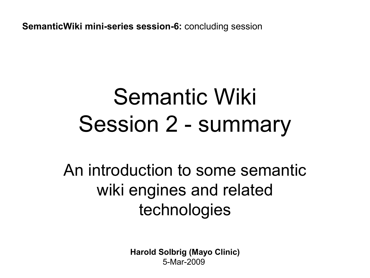**SemanticWiki mini-series session-6:** concluding session

### Semantic Wiki Session 2 - summary

An introduction to some semantic wiki engines and related technologies

> **Harold Solbrig (Mayo Clinic)** 5-Mar-2009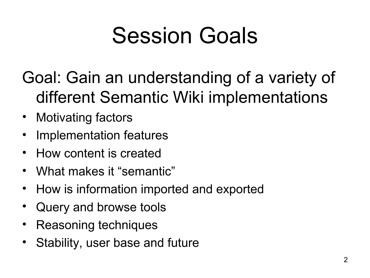## Session Goals

### Goal: Gain an understanding of a variety of different Semantic Wiki implementations

- Motivating factors
- Implementation features
- How content is created
- What makes it "semantic"
- How is information imported and exported
- Query and browse tools
- Reasoning techniques
- Stability, user base and future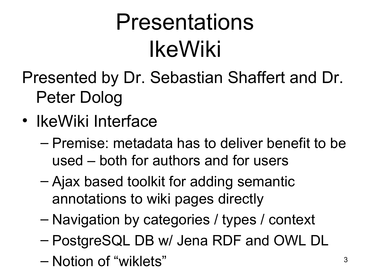# Presentations IkeWiki

Presented by Dr. Sebastian Shaffert and Dr. Peter Dolog

- IkeWiki Interface
	- Premise: metadata has to deliver benefit to be used – both for authors and for users
	- Ajax based toolkit for adding semantic annotations to wiki pages directly
	- Navigation by categories / types / context
	- PostgreSQL DB w/ Jena RDF and OWL DL
	- Notion of "wiklets"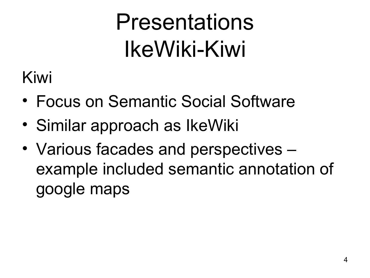# Presentations IkeWiki-Kiwi

Kiwi

- Focus on Semantic Social Software
- Similar approach as IkeWiki
- Various facades and perspectives example included semantic annotation of google maps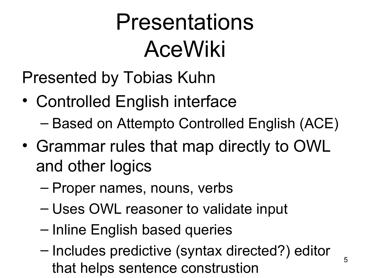## Presentations AceWiki

Presented by Tobias Kuhn

• Controlled English interface

– Based on Attempto Controlled English (ACE)

- Grammar rules that map directly to OWL and other logics
	- Proper names, nouns, verbs
	- Uses OWL reasoner to validate input
	- Inline English based queries
	- Includes predictive (syntax directed?) editor that helps sentence construstion

5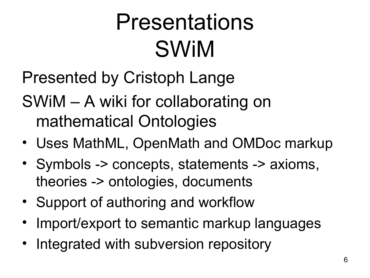# Presentations SWiM

Presented by Cristoph Lange

- SWiM A wiki for collaborating on mathematical Ontologies
- Uses MathML, OpenMath and OMDoc markup
- Symbols -> concepts, statements -> axioms, theories -> ontologies, documents
- Support of authoring and workflow
- Import/export to semantic markup languages
- Integrated with subversion repository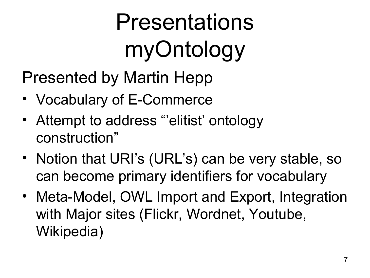# Presentations myOntology

Presented by Martin Hepp

- Vocabulary of E-Commerce
- Attempt to address "elitist' ontology construction"
- Notion that URI's (URL's) can be very stable, so can become primary identifiers for vocabulary
- Meta-Model, OWL Import and Export, Integration with Major sites (Flickr, Wordnet, Youtube, Wikipedia)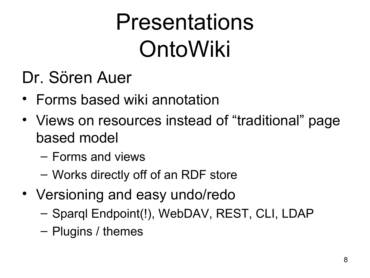# Presentations OntoWiki

#### Dr. Sören Auer

- Forms based wiki annotation
- Views on resources instead of "traditional" page based model
	- Forms and views
	- Works directly off of an RDF store
- Versioning and easy undo/redo
	- Sparql Endpoint(!), WebDAV, REST, CLI, LDAP
	- Plugins / themes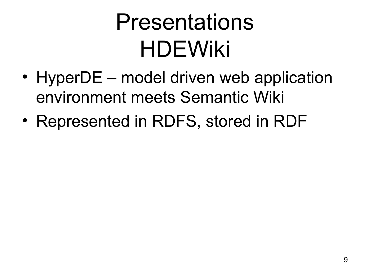# Presentations **HDEWiki**

- HyperDE model driven web application environment meets Semantic Wiki
- Represented in RDFS, stored in RDF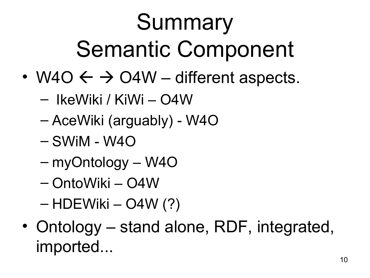# Summary Semantic Component

- W4O  $\leftarrow$   $\rightarrow$  O4W different aspects.
	- IkeWiki / KiWi O4W
	- AceWiki (arguably) W4O
	- SWiM W4O
	- myOntology W4O
	- OntoWiki O4W
	- $-$  HDEWiki  $-$  O4W (?)
- Ontology stand alone, RDF, integrated, imported...